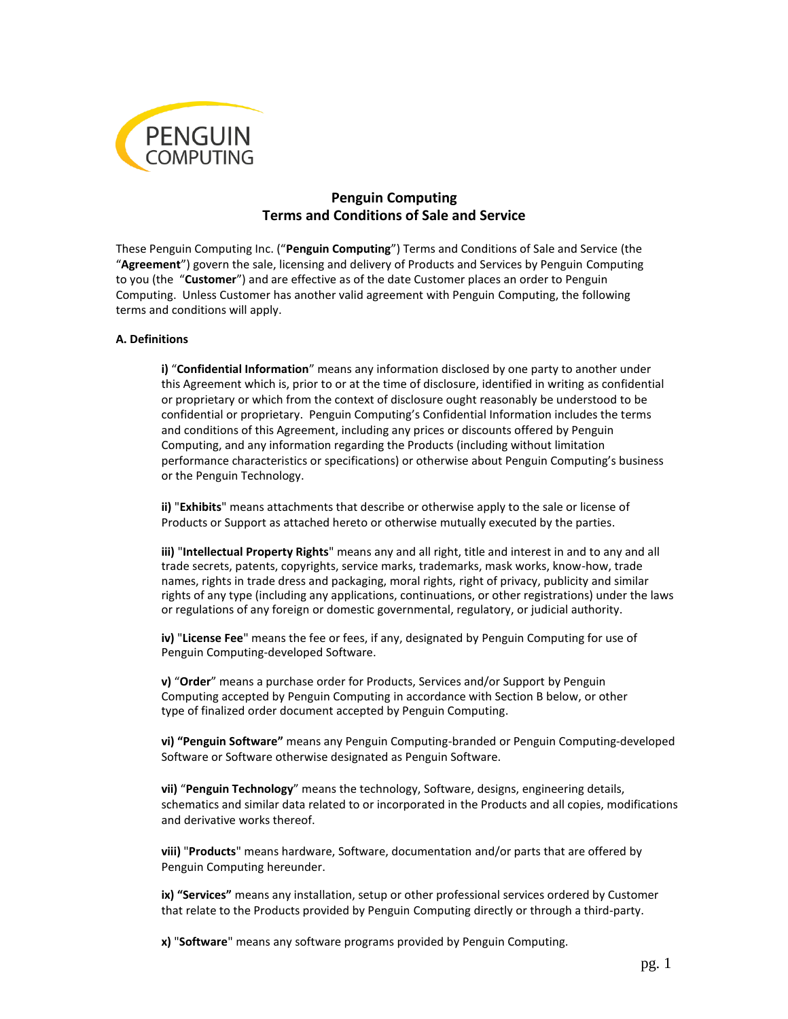

# **Penguin Computing Terms and Conditions of Sale and Service**

These Penguin Computing Inc. ("**Penguin Computing**") Terms and Conditions of Sale and Service (the "**Agreement**") govern the sale, licensing and delivery of Products and Services by Penguin Computing to you (the "**Customer**") and are effective as of the date Customer places an order to Penguin Computing. Unless Customer has another valid agreement with Penguin Computing, the following terms and conditions will apply.

### **A. Definitions**

**i)** "**Confidential Information**" means any information disclosed by one party to another under this Agreement which is, prior to or at the time of disclosure, identified in writing as confidential or proprietary or which from the context of disclosure ought reasonably be understood to be confidential or proprietary. Penguin Computing's Confidential Information includes the terms and conditions of this Agreement, including any prices or discounts offered by Penguin Computing, and any information regarding the Products (including without limitation performance characteristics or specifications) or otherwise about Penguin Computing's business or the Penguin Technology.

**ii)** "**Exhibits**" means attachments that describe or otherwise apply to the sale or license of Products or Support as attached hereto or otherwise mutually executed by the parties.

**iii)** "**Intellectual Property Rights**" means any and all right, title and interest in and to any and all trade secrets, patents, copyrights, service marks, trademarks, mask works, know-how, trade names, rights in trade dress and packaging, moral rights, right of privacy, publicity and similar rights of any type (including any applications, continuations, or other registrations) under the laws or regulations of any foreign or domestic governmental, regulatory, or judicial authority.

**iv)** "**License Fee**" means the fee or fees, if any, designated by Penguin Computing for use of Penguin Computing-developed Software.

**v)** "**Order**" means a purchase order for Products, Services and/or Support by Penguin Computing accepted by Penguin Computing in accordance with Section B below, or other type of finalized order document accepted by Penguin Computing.

**vi) "Penguin Software"** means any Penguin Computing-branded or Penguin Computing-developed Software or Software otherwise designated as Penguin Software.

**vii)** "**Penguin Technology**" means the technology, Software, designs, engineering details, schematics and similar data related to or incorporated in the Products and all copies, modifications and derivative works thereof.

**viii)** "**Products**" means hardware, Software, documentation and/or parts that are offered by Penguin Computing hereunder.

**ix) "Services"** means any installation, setup or other professional services ordered by Customer that relate to the Products provided by Penguin Computing directly or through a third-party.

**x)** "**Software**" means any software programs provided by Penguin Computing.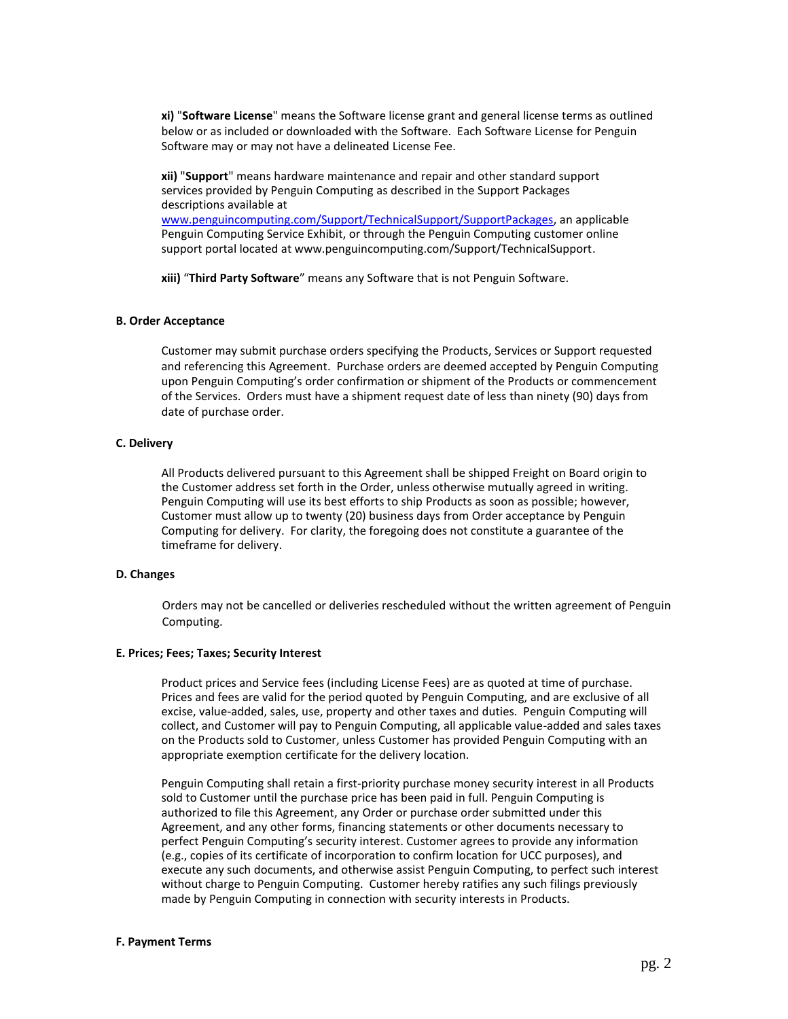**xi)** "**Software License**" means the Software license grant and general license terms as outlined below or as included or downloaded with the Software. Each Software License for Penguin Software may or may not have a delineated License Fee.

**xii)** "**Support**" means hardware maintenance and repair and other standard support services provided by Penguin Computing as described in the Support Packages descriptions available at [www.penguincomputing.com/Support/TechnicalSupport/SupportPackages,](http://www.penguincomputing.com/Support/TechnicalSupport/SupportPackages) an applicable Penguin Computing Service Exhibit, or through the Penguin Computing customer online support portal located at www.penguincomputing.com/Support/TechnicalSupport.

**xiii)** "**Third Party Software**" means any Software that is not Penguin Software.

#### **B. Order Acceptance**

Customer may submit purchase orders specifying the Products, Services or Support requested and referencing this Agreement. Purchase orders are deemed accepted by Penguin Computing upon Penguin Computing's order confirmation or shipment of the Products or commencement of the Services. Orders must have a shipment request date of less than ninety (90) days from date of purchase order.

#### **C. Delivery**

All Products delivered pursuant to this Agreement shall be shipped Freight on Board origin to the Customer address set forth in the Order, unless otherwise mutually agreed in writing. Penguin Computing will use its best efforts to ship Products as soon as possible; however, Customer must allow up to twenty (20) business days from Order acceptance by Penguin Computing for delivery. For clarity, the foregoing does not constitute a guarantee of the timeframe for delivery.

#### **D. Changes**

Orders may not be cancelled or deliveries rescheduled without the written agreement of Penguin Computing.

#### **E. Prices; Fees; Taxes; Security Interest**

Product prices and Service fees (including License Fees) are as quoted at time of purchase. Prices and fees are valid for the period quoted by Penguin Computing, and are exclusive of all excise, value-added, sales, use, property and other taxes and duties. Penguin Computing will collect, and Customer will pay to Penguin Computing, all applicable value-added and sales taxes on the Products sold to Customer, unless Customer has provided Penguin Computing with an appropriate exemption certificate for the delivery location.

Penguin Computing shall retain a first-priority purchase money security interest in all Products sold to Customer until the purchase price has been paid in full. Penguin Computing is authorized to file this Agreement, any Order or purchase order submitted under this Agreement, and any other forms, financing statements or other documents necessary to perfect Penguin Computing's security interest. Customer agrees to provide any information (e.g., copies of its certificate of incorporation to confirm location for UCC purposes), and execute any such documents, and otherwise assist Penguin Computing, to perfect such interest without charge to Penguin Computing. Customer hereby ratifies any such filings previously made by Penguin Computing in connection with security interests in Products.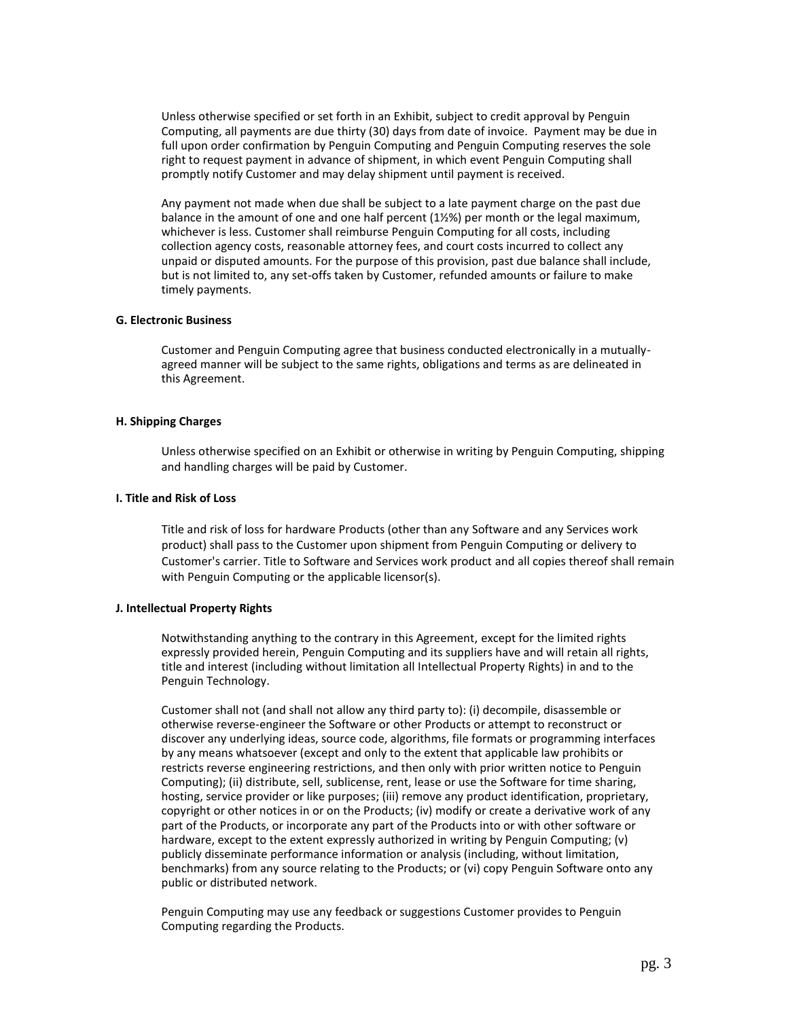Unless otherwise specified or set forth in an Exhibit, subject to credit approval by Penguin Computing, all payments are due thirty (30) days from date of invoice. Payment may be due in full upon order confirmation by Penguin Computing and Penguin Computing reserves the sole right to request payment in advance of shipment, in which event Penguin Computing shall promptly notify Customer and may delay shipment until payment is received.

Any payment not made when due shall be subject to a late payment charge on the past due balance in the amount of one and one half percent  $(1\frac{1}{2}\%)$  per month or the legal maximum, whichever is less. Customer shall reimburse Penguin Computing for all costs, including collection agency costs, reasonable attorney fees, and court costs incurred to collect any unpaid or disputed amounts. For the purpose of this provision, past due balance shall include, but is not limited to, any set-offs taken by Customer, refunded amounts or failure to make timely payments.

### **G. Electronic Business**

Customer and Penguin Computing agree that business conducted electronically in a mutuallyagreed manner will be subject to the same rights, obligations and terms as are delineated in this Agreement.

### **H. Shipping Charges**

Unless otherwise specified on an Exhibit or otherwise in writing by Penguin Computing, shipping and handling charges will be paid by Customer.

#### **I. Title and Risk of Loss**

Title and risk of loss for hardware Products (other than any Software and any Services work product) shall pass to the Customer upon shipment from Penguin Computing or delivery to Customer's carrier. Title to Software and Services work product and all copies thereof shall remain with Penguin Computing or the applicable licensor(s).

### **J. Intellectual Property Rights**

Notwithstanding anything to the contrary in this Agreement, except for the limited rights expressly provided herein, Penguin Computing and its suppliers have and will retain all rights, title and interest (including without limitation all Intellectual Property Rights) in and to the Penguin Technology.

Customer shall not (and shall not allow any third party to): (i) decompile, disassemble or otherwise reverse-engineer the Software or other Products or attempt to reconstruct or discover any underlying ideas, source code, algorithms, file formats or programming interfaces by any means whatsoever (except and only to the extent that applicable law prohibits or restricts reverse engineering restrictions, and then only with prior written notice to Penguin Computing); (ii) distribute, sell, sublicense, rent, lease or use the Software for time sharing, hosting, service provider or like purposes; (iii) remove any product identification, proprietary, copyright or other notices in or on the Products; (iv) modify or create a derivative work of any part of the Products, or incorporate any part of the Products into or with other software or hardware, except to the extent expressly authorized in writing by Penguin Computing; (v) publicly disseminate performance information or analysis (including, without limitation, benchmarks) from any source relating to the Products; or (vi) copy Penguin Software onto any public or distributed network.

Penguin Computing may use any feedback or suggestions Customer provides to Penguin Computing regarding the Products.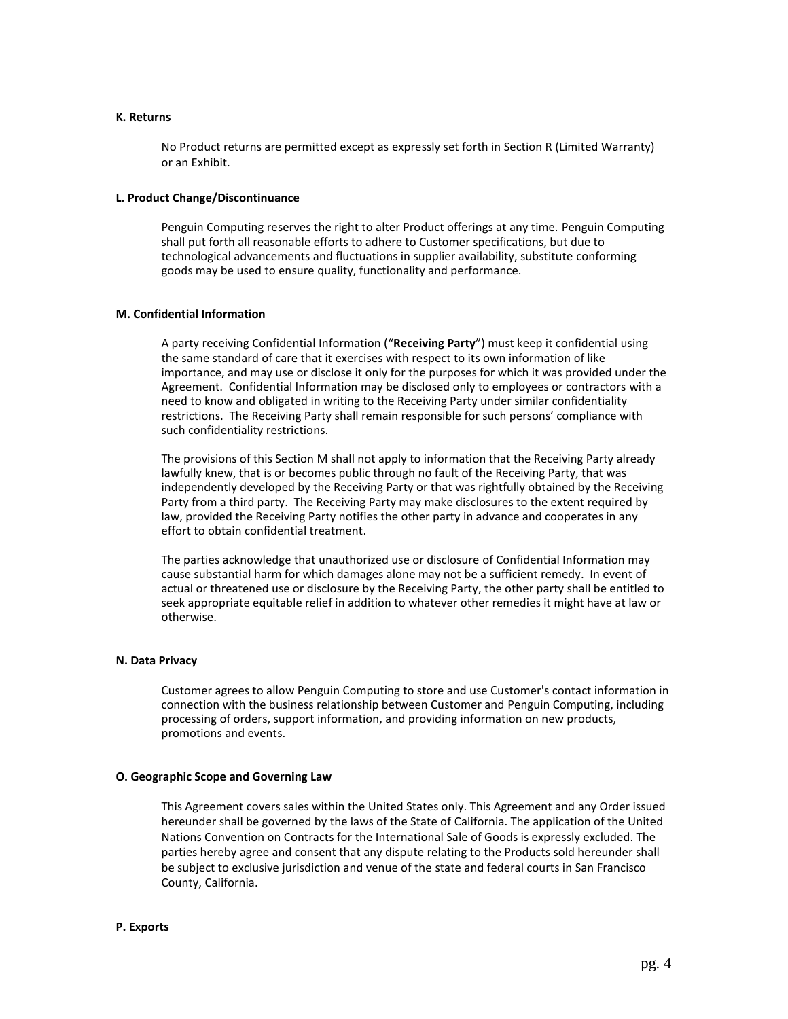#### **K. Returns**

No Product returns are permitted except as expressly set forth in Section R (Limited Warranty) or an Exhibit.

### **L. Product Change/Discontinuance**

Penguin Computing reserves the right to alter Product offerings at any time. Penguin Computing shall put forth all reasonable efforts to adhere to Customer specifications, but due to technological advancements and fluctuations in supplier availability, substitute conforming goods may be used to ensure quality, functionality and performance.

### **M. Confidential Information**

A party receiving Confidential Information ("**Receiving Party**") must keep it confidential using the same standard of care that it exercises with respect to its own information of like importance, and may use or disclose it only for the purposes for which it was provided under the Agreement. Confidential Information may be disclosed only to employees or contractors with a need to know and obligated in writing to the Receiving Party under similar confidentiality restrictions. The Receiving Party shall remain responsible for such persons' compliance with such confidentiality restrictions.

The provisions of this Section M shall not apply to information that the Receiving Party already lawfully knew, that is or becomes public through no fault of the Receiving Party, that was independently developed by the Receiving Party or that was rightfully obtained by the Receiving Party from a third party. The Receiving Party may make disclosures to the extent required by law, provided the Receiving Party notifies the other party in advance and cooperates in any effort to obtain confidential treatment.

The parties acknowledge that unauthorized use or disclosure of Confidential Information may cause substantial harm for which damages alone may not be a sufficient remedy. In event of actual or threatened use or disclosure by the Receiving Party, the other party shall be entitled to seek appropriate equitable relief in addition to whatever other remedies it might have at law or otherwise.

### **N. Data Privacy**

Customer agrees to allow Penguin Computing to store and use Customer's contact information in connection with the business relationship between Customer and Penguin Computing, including processing of orders, support information, and providing information on new products, promotions and events.

### **O. Geographic Scope and Governing Law**

This Agreement covers sales within the United States only. This Agreement and any Order issued hereunder shall be governed by the laws of the State of California. The application of the United Nations Convention on Contracts for the International Sale of Goods is expressly excluded. The parties hereby agree and consent that any dispute relating to the Products sold hereunder shall be subject to exclusive jurisdiction and venue of the state and federal courts in San Francisco County, California.

#### **P. Exports**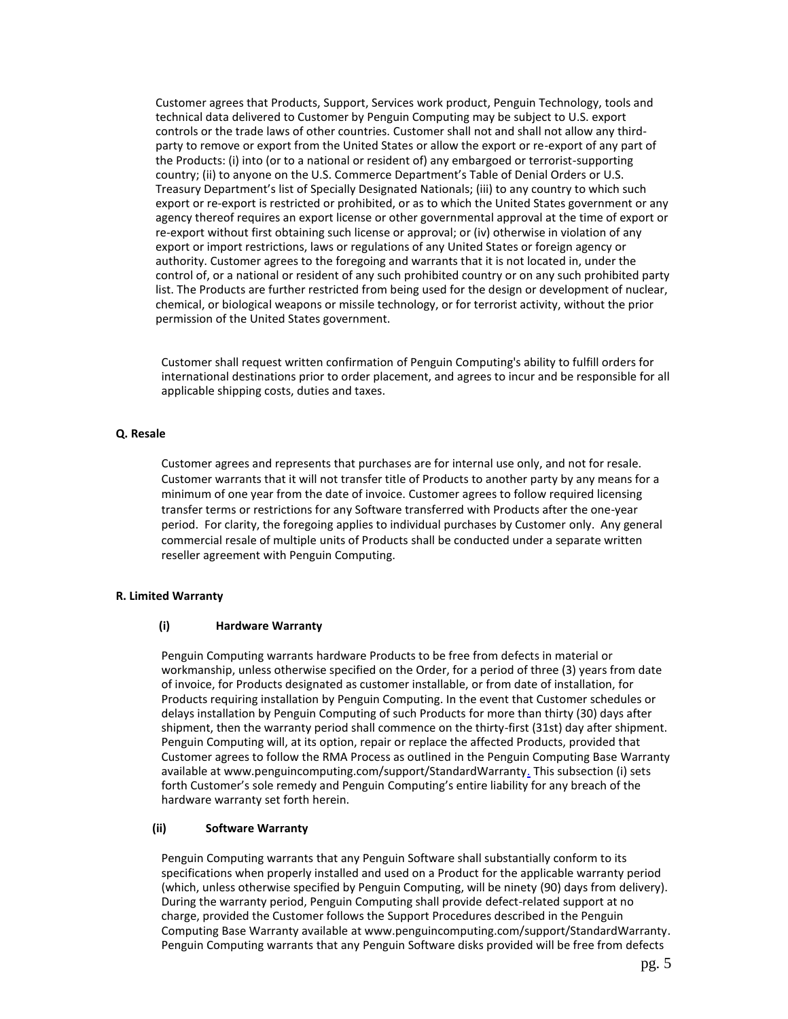Customer agrees that Products, Support, Services work product, Penguin Technology, tools and technical data delivered to Customer by Penguin Computing may be subject to U.S. export controls or the trade laws of other countries. Customer shall not and shall not allow any thirdparty to remove or export from the United States or allow the export or re-export of any part of the Products: (i) into (or to a national or resident of) any embargoed or terrorist-supporting country; (ii) to anyone on the U.S. Commerce Department's Table of Denial Orders or U.S. Treasury Department's list of Specially Designated Nationals; (iii) to any country to which such export or re-export is restricted or prohibited, or as to which the United States government or any agency thereof requires an export license or other governmental approval at the time of export or re-export without first obtaining such license or approval; or (iv) otherwise in violation of any export or import restrictions, laws or regulations of any United States or foreign agency or authority. Customer agrees to the foregoing and warrants that it is not located in, under the control of, or a national or resident of any such prohibited country or on any such prohibited party list. The Products are further restricted from being used for the design or development of nuclear, chemical, or biological weapons or missile technology, or for terrorist activity, without the prior permission of the United States government.

Customer shall request written confirmation of Penguin Computing's ability to fulfill orders for international destinations prior to order placement, and agrees to incur and be responsible for all applicable shipping costs, duties and taxes.

### **Q. Resale**

Customer agrees and represents that purchases are for internal use only, and not for resale. Customer warrants that it will not transfer title of Products to another party by any means for a minimum of one year from the date of invoice. Customer agrees to follow required licensing transfer terms or restrictions for any Software transferred with Products after the one-year period. For clarity, the foregoing applies to individual purchases by Customer only. Any general commercial resale of multiple units of Products shall be conducted under a separate written reseller agreement with Penguin Computing.

### **R. Limited Warranty**

## **(i) Hardware Warranty**

Penguin Computing warrants hardware Products to be free from defects in material or workmanship, unless otherwise specified on the Order, for a period of three (3) years from date of invoice, for Products designated as customer installable, or from date of installation, for Products requiring installation by Penguin Computing. In the event that Customer schedules or delays installation by Penguin Computing of such Products for more than thirty (30) days after shipment, then the warranty period shall commence on the thirty-first (31st) day after shipment. Penguin Computing will, at its option, repair or replace the affected Products, provided that Customer agrees to follow the RMA Process as outlined in the Penguin Computing Base Warranty available at www.penguincomputing.com/support/StandardWarrant[y.](http://www.penguincomputing.com./) This subsection (i) sets forth Customer's sole remedy and Penguin Computing's entire liability for any breach of the hardware warranty set forth herein.

## **(ii) Software Warranty**

Penguin Computing warrants that any Penguin Software shall substantially conform to its specifications when properly installed and used on a Product for the applicable warranty period (which, unless otherwise specified by Penguin Computing, will be ninety (90) days from delivery). During the warranty period, Penguin Computing shall provide defect-related support at no charge, provided the Customer follows the Support Procedures described in the Penguin Computing Base Warranty available at www.penguincomputing.com/support/StandardWarranty. Penguin Computing warrants that any Penguin Software disks provided will be free from defects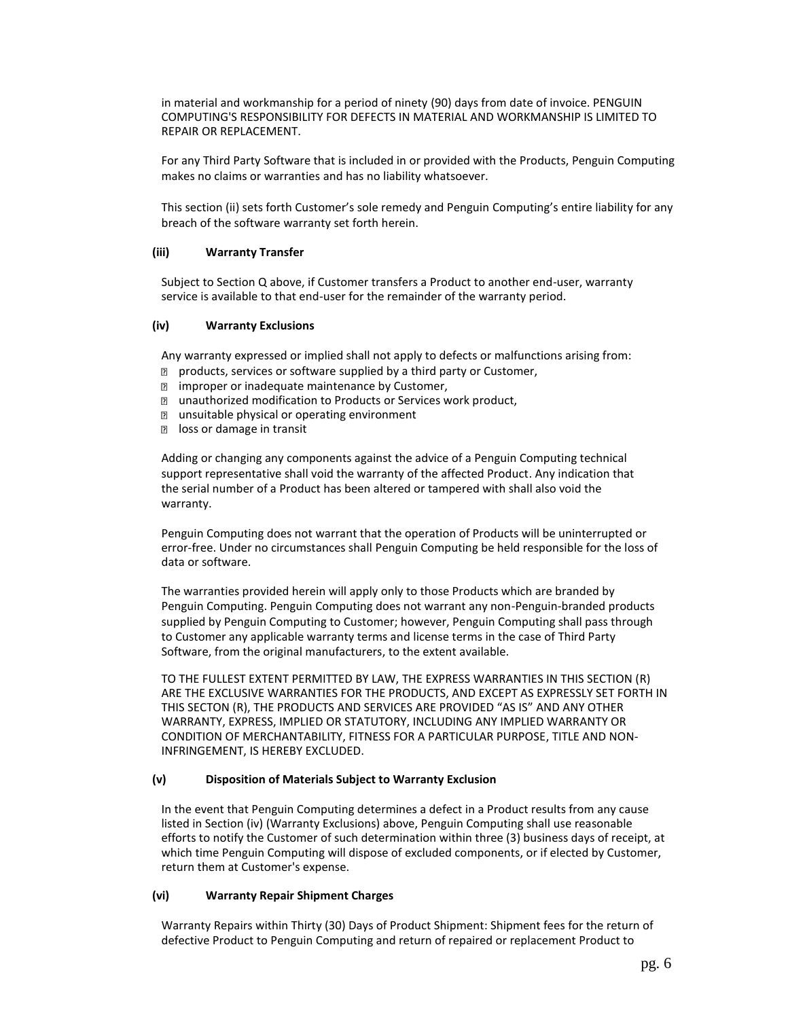in material and workmanship for a period of ninety (90) days from date of invoice. PENGUIN COMPUTING'S RESPONSIBILITY FOR DEFECTS IN MATERIAL AND WORKMANSHIP IS LIMITED TO REPAIR OR REPLACEMENT.

For any Third Party Software that is included in or provided with the Products, Penguin Computing makes no claims or warranties and has no liability whatsoever.

This section (ii) sets forth Customer's sole remedy and Penguin Computing's entire liability for any breach of the software warranty set forth herein.

#### **(iii) Warranty Transfer**

Subject to Section Q above, if Customer transfers a Product to another end-user, warranty service is available to that end-user for the remainder of the warranty period.

#### **(iv) Warranty Exclusions**

Any warranty expressed or implied shall not apply to defects or malfunctions arising from:

- **n** products, services or software supplied by a third party or Customer,
- **I** improper or inadequate maintenance by Customer,
- **I** unauthorized modification to Products or Services work product,
- **n** unsuitable physical or operating environment
- la loss or damage in transit

Adding or changing any components against the advice of a Penguin Computing technical support representative shall void the warranty of the affected Product. Any indication that the serial number of a Product has been altered or tampered with shall also void the warranty.

Penguin Computing does not warrant that the operation of Products will be uninterrupted or error-free. Under no circumstances shall Penguin Computing be held responsible for the loss of data or software.

The warranties provided herein will apply only to those Products which are branded by Penguin Computing. Penguin Computing does not warrant any non-Penguin-branded products supplied by Penguin Computing to Customer; however, Penguin Computing shall pass through to Customer any applicable warranty terms and license terms in the case of Third Party Software, from the original manufacturers, to the extent available.

TO THE FULLEST EXTENT PERMITTED BY LAW, THE EXPRESS WARRANTIES IN THIS SECTION (R) ARE THE EXCLUSIVE WARRANTIES FOR THE PRODUCTS, AND EXCEPT AS EXPRESSLY SET FORTH IN THIS SECTON (R), THE PRODUCTS AND SERVICES ARE PROVIDED "AS IS" AND ANY OTHER WARRANTY, EXPRESS, IMPLIED OR STATUTORY, INCLUDING ANY IMPLIED WARRANTY OR CONDITION OF MERCHANTABILITY, FITNESS FOR A PARTICULAR PURPOSE, TITLE AND NON-INFRINGEMENT, IS HEREBY EXCLUDED.

### **(v) Disposition of Materials Subject to Warranty Exclusion**

In the event that Penguin Computing determines a defect in a Product results from any cause listed in Section (iv) (Warranty Exclusions) above, Penguin Computing shall use reasonable efforts to notify the Customer of such determination within three (3) business days of receipt, at which time Penguin Computing will dispose of excluded components, or if elected by Customer, return them at Customer's expense.

#### **(vi) Warranty Repair Shipment Charges**

Warranty Repairs within Thirty (30) Days of Product Shipment: Shipment fees for the return of defective Product to Penguin Computing and return of repaired or replacement Product to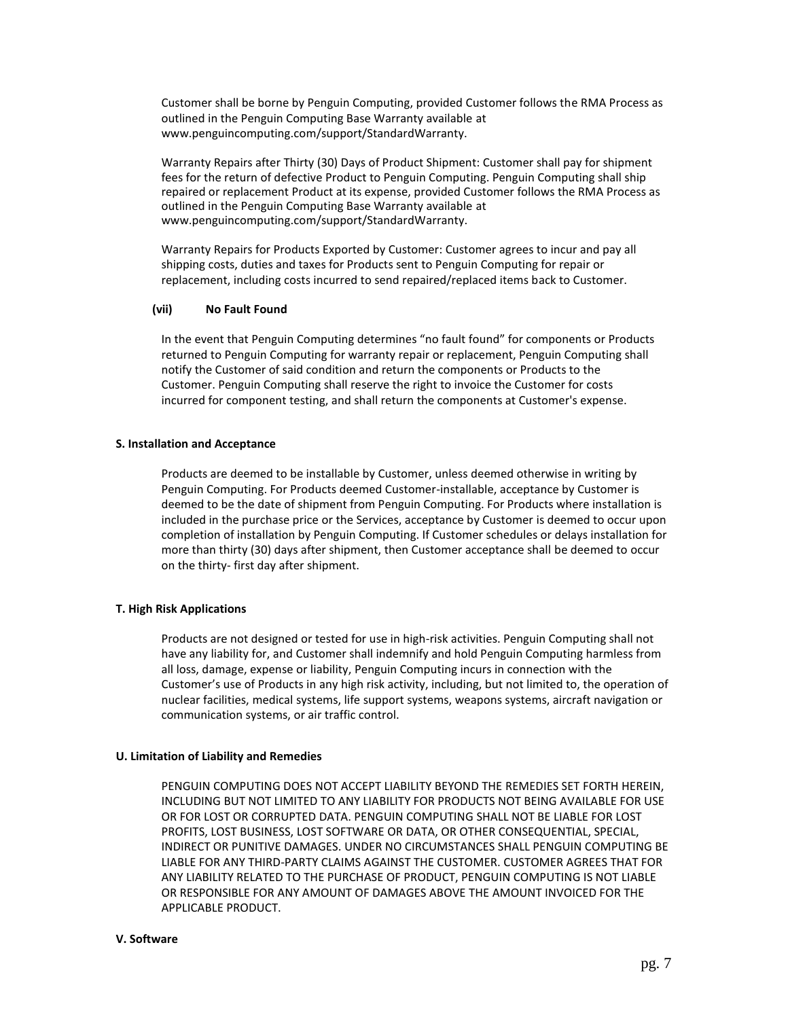Customer shall be borne by Penguin Computing, provided Customer follows the RMA Process as outlined in the Penguin Computing Base Warranty available at www.penguincomputing.com/support/StandardWarranty.

Warranty Repairs after Thirty (30) Days of Product Shipment: Customer shall pay for shipment fees for the return of defective Product to Penguin Computing. Penguin Computing shall ship repaired or replacement Product at its expense, provided Customer follows the RMA Process as outlined in the Penguin Computing Base Warranty available at www.penguincomputing.com/support/StandardWarranty.

Warranty Repairs for Products Exported by Customer: Customer agrees to incur and pay all shipping costs, duties and taxes for Products sent to Penguin Computing for repair or replacement, including costs incurred to send repaired/replaced items back to Customer.

#### **(vii) No Fault Found**

In the event that Penguin Computing determines "no fault found" for components or Products returned to Penguin Computing for warranty repair or replacement, Penguin Computing shall notify the Customer of said condition and return the components or Products to the Customer. Penguin Computing shall reserve the right to invoice the Customer for costs incurred for component testing, and shall return the components at Customer's expense.

#### **S. Installation and Acceptance**

Products are deemed to be installable by Customer, unless deemed otherwise in writing by Penguin Computing. For Products deemed Customer-installable, acceptance by Customer is deemed to be the date of shipment from Penguin Computing. For Products where installation is included in the purchase price or the Services, acceptance by Customer is deemed to occur upon completion of installation by Penguin Computing. If Customer schedules or delays installation for more than thirty (30) days after shipment, then Customer acceptance shall be deemed to occur on the thirty- first day after shipment.

### **T. High Risk Applications**

Products are not designed or tested for use in high-risk activities. Penguin Computing shall not have any liability for, and Customer shall indemnify and hold Penguin Computing harmless from all loss, damage, expense or liability, Penguin Computing incurs in connection with the Customer's use of Products in any high risk activity, including, but not limited to, the operation of nuclear facilities, medical systems, life support systems, weapons systems, aircraft navigation or communication systems, or air traffic control.

### **U. Limitation of Liability and Remedies**

PENGUIN COMPUTING DOES NOT ACCEPT LIABILITY BEYOND THE REMEDIES SET FORTH HEREIN, INCLUDING BUT NOT LIMITED TO ANY LIABILITY FOR PRODUCTS NOT BEING AVAILABLE FOR USE OR FOR LOST OR CORRUPTED DATA. PENGUIN COMPUTING SHALL NOT BE LIABLE FOR LOST PROFITS, LOST BUSINESS, LOST SOFTWARE OR DATA, OR OTHER CONSEQUENTIAL, SPECIAL, INDIRECT OR PUNITIVE DAMAGES. UNDER NO CIRCUMSTANCES SHALL PENGUIN COMPUTING BE LIABLE FOR ANY THIRD-PARTY CLAIMS AGAINST THE CUSTOMER. CUSTOMER AGREES THAT FOR ANY LIABILITY RELATED TO THE PURCHASE OF PRODUCT, PENGUIN COMPUTING IS NOT LIABLE OR RESPONSIBLE FOR ANY AMOUNT OF DAMAGES ABOVE THE AMOUNT INVOICED FOR THE APPLICABLE PRODUCT.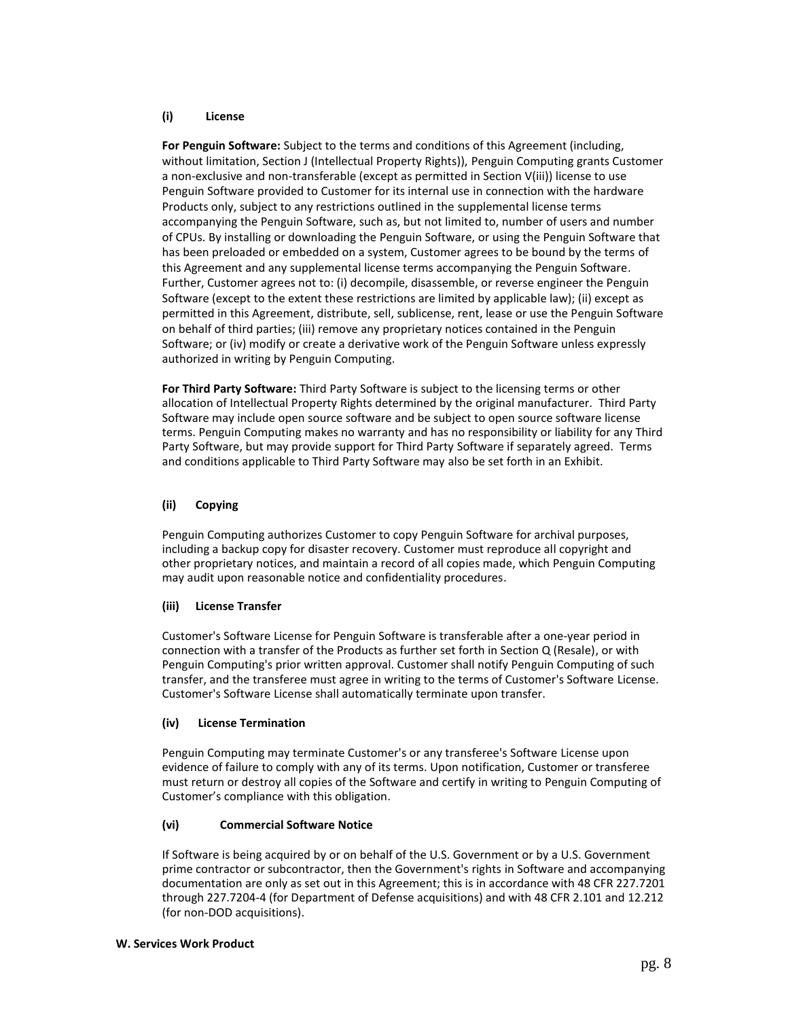### **(i) License**

**For Penguin Software:** Subject to the terms and conditions of this Agreement (including, without limitation, Section J (Intellectual Property Rights)), Penguin Computing grants Customer a non-exclusive and non-transferable (except as permitted in Section V(iii)) license to use Penguin Software provided to Customer for its internal use in connection with the hardware Products only, subject to any restrictions outlined in the supplemental license terms accompanying the Penguin Software, such as, but not limited to, number of users and number of CPUs. By installing or downloading the Penguin Software, or using the Penguin Software that has been preloaded or embedded on a system, Customer agrees to be bound by the terms of this Agreement and any supplemental license terms accompanying the Penguin Software. Further, Customer agrees not to: (i) decompile, disassemble, or reverse engineer the Penguin Software (except to the extent these restrictions are limited by applicable law); (ii) except as permitted in this Agreement, distribute, sell, sublicense, rent, lease or use the Penguin Software on behalf of third parties; (iii) remove any proprietary notices contained in the Penguin Software; or (iv) modify or create a derivative work of the Penguin Software unless expressly authorized in writing by Penguin Computing.

**For Third Party Software:** Third Party Software is subject to the licensing terms or other allocation of Intellectual Property Rights determined by the original manufacturer. Third Party Software may include open source software and be subject to open source software license terms. Penguin Computing makes no warranty and has no responsibility or liability for any Third Party Software, but may provide support for Third Party Software if separately agreed. Terms and conditions applicable to Third Party Software may also be set forth in an Exhibit.

## **(ii) Copying**

Penguin Computing authorizes Customer to copy Penguin Software for archival purposes, including a backup copy for disaster recovery. Customer must reproduce all copyright and other proprietary notices, and maintain a record of all copies made, which Penguin Computing may audit upon reasonable notice and confidentiality procedures.

## **(iii) License Transfer**

Customer's Software License for Penguin Software is transferable after a one-year period in connection with a transfer of the Products as further set forth in Section Q (Resale), or with Penguin Computing's prior written approval. Customer shall notify Penguin Computing of such transfer, and the transferee must agree in writing to the terms of Customer's Software License. Customer's Software License shall automatically terminate upon transfer.

## **(iv) License Termination**

Penguin Computing may terminate Customer's or any transferee's Software License upon evidence of failure to comply with any of its terms. Upon notification, Customer or transferee must return or destroy all copies of the Software and certify in writing to Penguin Computing of Customer's compliance with this obligation.

## **(vi) Commercial Software Notice**

If Software is being acquired by or on behalf of the U.S. Government or by a U.S. Government prime contractor or subcontractor, then the Government's rights in Software and accompanying documentation are only as set out in this Agreement; this is in accordance with 48 CFR 227.7201 through 227.7204-4 (for Department of Defense acquisitions) and with 48 CFR 2.101 and 12.212 (for non-DOD acquisitions).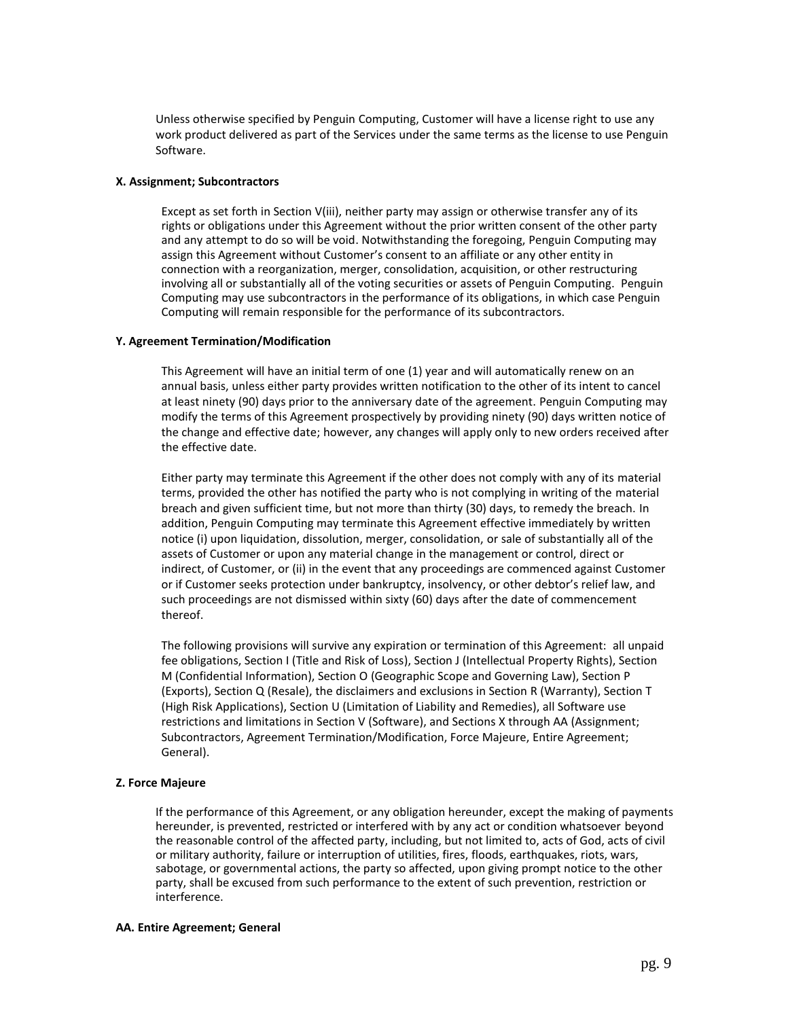Unless otherwise specified by Penguin Computing, Customer will have a license right to use any work product delivered as part of the Services under the same terms as the license to use Penguin Software.

#### **X. Assignment; Subcontractors**

Except as set forth in Section V(iii), neither party may assign or otherwise transfer any of its rights or obligations under this Agreement without the prior written consent of the other party and any attempt to do so will be void. Notwithstanding the foregoing, Penguin Computing may assign this Agreement without Customer's consent to an affiliate or any other entity in connection with a reorganization, merger, consolidation, acquisition, or other restructuring involving all or substantially all of the voting securities or assets of Penguin Computing. Penguin Computing may use subcontractors in the performance of its obligations, in which case Penguin Computing will remain responsible for the performance of its subcontractors.

### **Y. Agreement Termination/Modification**

This Agreement will have an initial term of one (1) year and will automatically renew on an annual basis, unless either party provides written notification to the other of its intent to cancel at least ninety (90) days prior to the anniversary date of the agreement. Penguin Computing may modify the terms of this Agreement prospectively by providing ninety (90) days written notice of the change and effective date; however, any changes will apply only to new orders received after the effective date.

Either party may terminate this Agreement if the other does not comply with any of its material terms, provided the other has notified the party who is not complying in writing of the material breach and given sufficient time, but not more than thirty (30) days, to remedy the breach. In addition, Penguin Computing may terminate this Agreement effective immediately by written notice (i) upon liquidation, dissolution, merger, consolidation, or sale of substantially all of the assets of Customer or upon any material change in the management or control, direct or indirect, of Customer, or (ii) in the event that any proceedings are commenced against Customer or if Customer seeks protection under bankruptcy, insolvency, or other debtor's relief law, and such proceedings are not dismissed within sixty (60) days after the date of commencement thereof.

The following provisions will survive any expiration or termination of this Agreement: all unpaid fee obligations, Section I (Title and Risk of Loss), Section J (Intellectual Property Rights), Section M (Confidential Information), Section O (Geographic Scope and Governing Law), Section P (Exports), Section Q (Resale), the disclaimers and exclusions in Section R (Warranty), Section T (High Risk Applications), Section U (Limitation of Liability and Remedies), all Software use restrictions and limitations in Section V (Software), and Sections X through AA (Assignment; Subcontractors, Agreement Termination/Modification, Force Majeure, Entire Agreement; General).

## **Z. Force Majeure**

If the performance of this Agreement, or any obligation hereunder, except the making of payments hereunder, is prevented, restricted or interfered with by any act or condition whatsoever beyond the reasonable control of the affected party, including, but not limited to, acts of God, acts of civil or military authority, failure or interruption of utilities, fires, floods, earthquakes, riots, wars, sabotage, or governmental actions, the party so affected, upon giving prompt notice to the other party, shall be excused from such performance to the extent of such prevention, restriction or interference.

#### **AA. Entire Agreement; General**